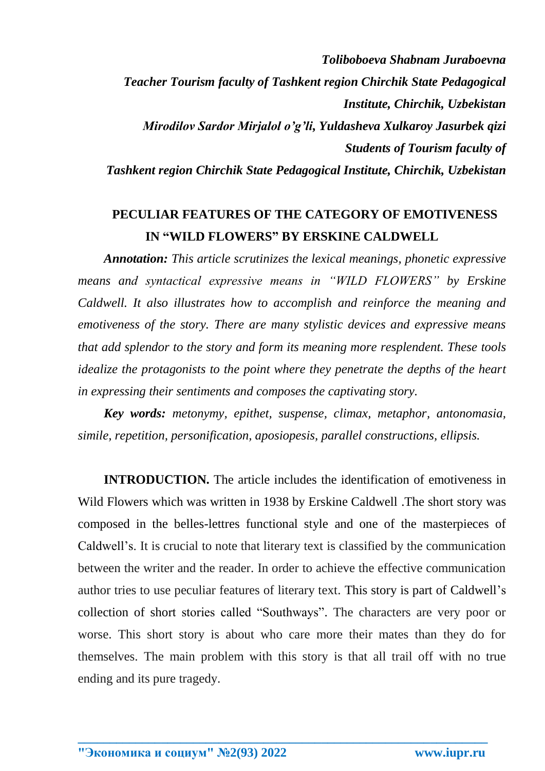*Toliboboeva Shabnam Juraboevna Teacher Tourism faculty of Tashkent region Chirchik State Pedagogical Institute, Chirchik, Uzbekistan Mirodilov Sardor Mirjalol o'g'li, Yuldasheva Xulkaroy Jasurbek qizi Students of Tourism faculty of Tashkent region Chirchik State Pedagogical Institute, Chirchik, Uzbekistan*

## **PECULIAR FEATURES OF THE CATEGORY OF EMOTIVENESS IN "WILD FLOWERS" BY ERSKINE CALDWELL**

*Annotation: This article scrutinizes the lexical meanings, phonetic expressive means and syntactical expressive means in "WILD FLOWERS" by Erskine Caldwell. It also illustrates how to accomplish and reinforce the meaning and emotiveness of the story. There are many stylistic devices and expressive means that add splendor to the story and form its meaning more resplendent. These tools idealize the protagonists to the point where they penetrate the depths of the heart in expressing their sentiments and composes the captivating story.*

*Key words: metonymy, epithet, suspense, climax, metaphor, antonomasia, simile, repetition, personification, aposiopesis, parallel constructions, ellipsis.*

**INTRODUCTION.** The article includes the identification of emotiveness in Wild Flowers which was written in 1938 by Erskine Caldwell .The short story was composed in the belles-lettres functional style and one of the masterpieces of Caldwell's. It is crucial to note that literary text is classified by the communication between the writer and the reader. In order to achieve the effective communication author tries to use peculiar features of literary text. This story is part of Caldwell's collection of short stories called "Southways". The characters are very poor or worse. This short story is about who care more their mates than they do for themselves. The main problem with this story is that all trail off with no true ending and its pure tragedy.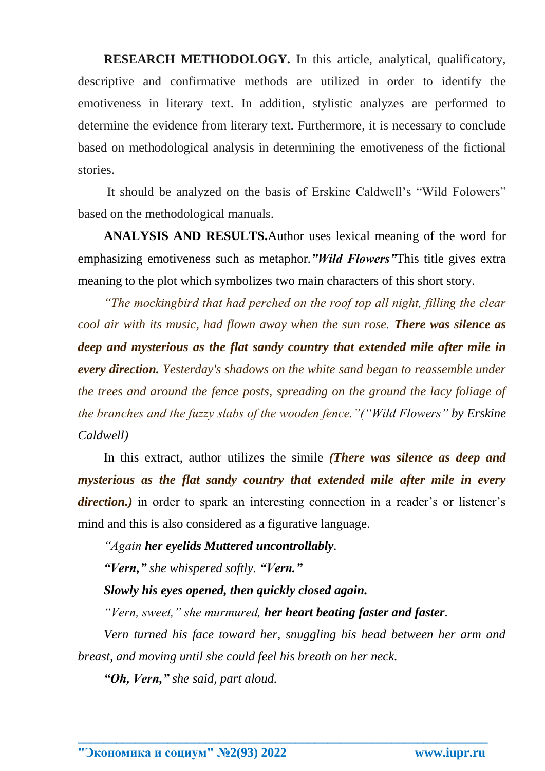**RESEARCH METHODOLOGY.** In this article, analytical, qualificatory, descriptive and confirmative methods are utilized in order to identify the emotiveness in literary text. In addition, stylistic analyzes are performed to determine the evidence from literary text. Furthermore, it is necessary to conclude based on methodological analysis in determining the emotiveness of the fictional stories.

It should be analyzed on the basis of Erskine Caldwell's "Wild Folowers" based on the methodological manuals.

**ANALYSIS AND RESULTS.**Author uses lexical meaning of the word for emphasizing emotiveness such as metaphor*."Wild Flowers"*This title gives extra meaning to the plot which symbolizes two main characters of this short story.

*"The mockingbird that had perched on the roof top all night, filling the clear cool air with its music, had flown away when the sun rose. There was silence as deep and mysterious as the flat sandy country that extended mile after mile in every direction. Yesterday's shadows on the white sand began to reassemble under the trees and around the fence posts, spreading on the ground the lacy foliage of the branches and the fuzzy slabs of the wooden fence."("Wild Flowers" by Erskine Caldwell)*

In this extract, author utilizes the simile *(There was silence as deep and mysterious as the flat sandy country that extended mile after mile in every direction.*) in order to spark an interesting connection in a reader's or listener's mind and this is also considered as a figurative language.

*"Again her eyelids Muttered uncontrollably.*

*"Vern," she whispered softly. "Vern."*

*Slowly his eyes opened, then quickly closed again.*

*"Vern, sweet," she murmured, her heart beating faster and faster.*

*Vern turned his face toward her, snuggling his head between her arm and breast, and moving until she could feel his breath on her neck.*

**\_\_\_\_\_\_\_\_\_\_\_\_\_\_\_\_\_\_\_\_\_\_\_\_\_\_\_\_\_\_\_\_\_\_\_\_\_\_\_\_\_\_\_\_\_\_\_\_\_\_\_\_\_\_\_\_\_\_\_\_\_\_\_\_**

*"Oh, Vern," she said, part aloud.*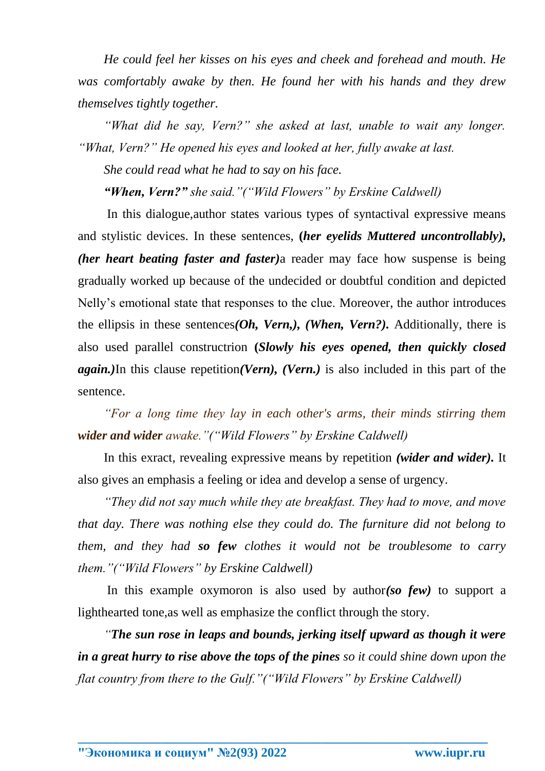*He could feel her kisses on his eyes and cheek and forehead and mouth. He was comfortably awake by then. He found her with his hands and they drew themselves tightly together.*

*"What did he say, Vern?" she asked at last, unable to wait any longer. "What, Vern?" He opened his eyes and looked at her, fully awake at last.*

*She could read what he had to say on his face.*

*"When, Vern?" she said."("Wild Flowers" by Erskine Caldwell)*

In this dialogue,author states various types of syntactival expressive means and stylistic devices. In these sentences, **(***her eyelids Muttered uncontrollably), (her heart beating faster and faster)*a reader may face how suspense is being gradually worked up because of the undecided or doubtful condition and depicted Nelly's emotional state that responses to the clue. Moreover, the author introduces the ellipsis in these sentences*(Oh, Vern,), (When, Vern?).* Additionally, there is also used parallel constructrion **(***Slowly his eyes opened, then quickly closed again.)*In this clause repetition*(Vern), (Vern.)* is also included in this part of the sentence.

*"For a long time they lay in each other's arms, their minds stirring them wider and wider awake."("Wild Flowers" by Erskine Caldwell)*

In this exract, revealing expressive means by repetition *(wider and wider).* It also gives an emphasis a feeling or idea and develop a sense of urgency.

*"They did not say much while they ate breakfast. They had to move, and move that day. There was nothing else they could do. The furniture did not belong to them, and they had so few clothes it would not be troublesome to carry them."("Wild Flowers" by Erskine Caldwell)*

In this example oxymoron is also used by author*(so few)* to support a lighthearted tone,as well as emphasize the conflict through the story.

*"The sun rose in leaps and bounds, jerking itself upward as though it were in a great hurry to rise above the tops of the pines so it could shine down upon the flat country from there to the Gulf."("Wild Flowers" by Erskine Caldwell)*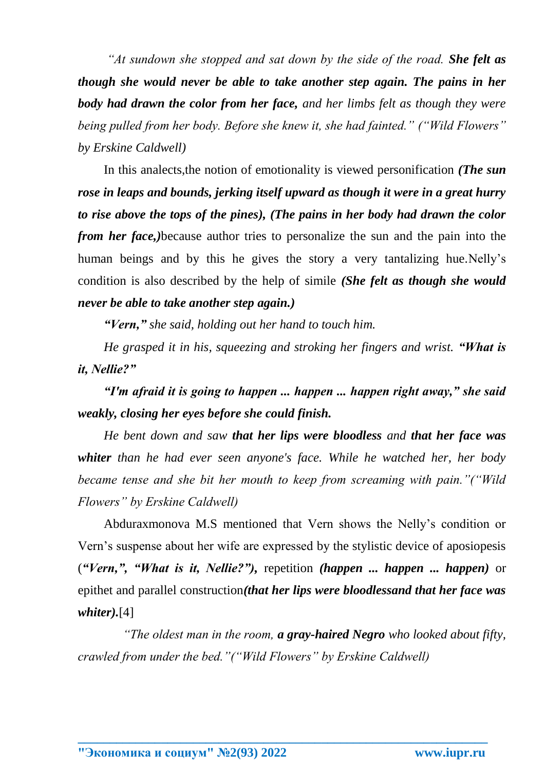*"At sundown she stopped and sat down by the side of the road. She felt as though she would never be able to take another step again. The pains in her body had drawn the color from her face, and her limbs felt as though they were being pulled from her body. Before she knew it, she had fainted." ("Wild Flowers" by Erskine Caldwell)*

In this analects,the notion of emotionality is viewed personification *(The sun rose in leaps and bounds, jerking itself upward as though it were in a great hurry to rise above the tops of the pines), (The pains in her body had drawn the color from her face,*)because author tries to personalize the sun and the pain into the human beings and by this he gives the story a very tantalizing hue.Nelly's condition is also described by the help of simile *(She felt as though she would never be able to take another step again.)*

*"Vern," she said, holding out her hand to touch him.*

*He grasped it in his, squeezing and stroking her fingers and wrist. "What is it, Nellie?"*

*"I'm afraid it is going to happen ... happen ... happen right away," she said weakly, closing her eyes before she could finish.*

*He bent down and saw that her lips were bloodless and that her face was whiter than he had ever seen anyone's face. While he watched her, her body became tense and she bit her mouth to keep from screaming with pain."("Wild Flowers" by Erskine Caldwell)*

Abduraxmonova M.S mentioned that Vern shows the Nelly's condition or Vern's suspense about her wife are expressed by the stylistic device of aposiopesis (*"Vern,", "What is it, Nellie?"),* repetition *(happen ... happen ... happen)* or epithet and parallel construction*(that her lips were bloodlessand that her face was whiter).*[4]

 *"The oldest man in the room, a gray-haired Negro who looked about fifty, crawled from under the bed."("Wild Flowers" by Erskine Caldwell)*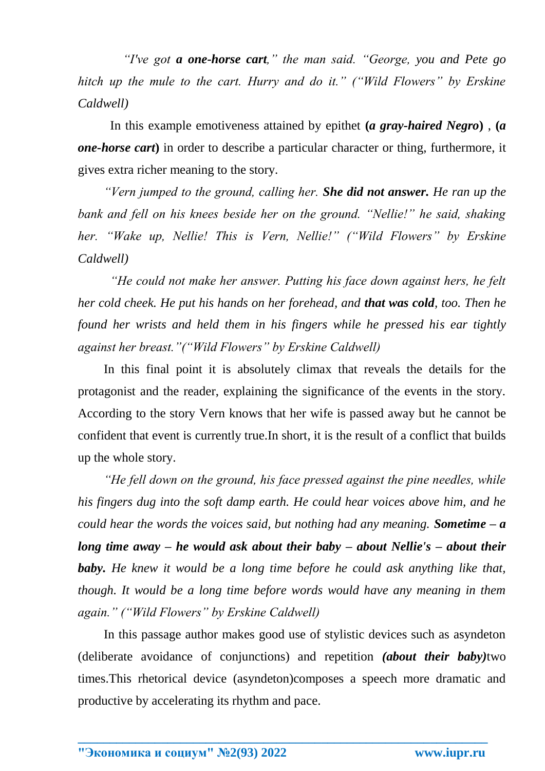*"I've got a one-horse cart," the man said. "George, you and Pete go hitch up the mule to the cart. Hurry and do it." ("Wild Flowers" by Erskine Caldwell)*

 In this example emotiveness attained by epithet **(***a gray-haired Negro***)** , **(***a one-horse cart***)** in order to describe a particular character or thing, furthermore, it gives extra richer meaning to the story.

*"Vern jumped to the ground, calling her. She did not answer. He ran up the bank and fell on his knees beside her on the ground. "Nellie!" he said, shaking her. "Wake up, Nellie! This is Vern, Nellie!" ("Wild Flowers" by Erskine Caldwell)*

 *"He could not make her answer. Putting his face down against hers, he felt her cold cheek. He put his hands on her forehead, and that was cold, too. Then he found her wrists and held them in his fingers while he pressed his ear tightly against her breast."("Wild Flowers" by Erskine Caldwell)*

In this final point it is absolutely climax that reveals the details for the protagonist and the reader, explaining the significance of the events in the story. According to the story Vern knows that her wife is passed away but he cannot be confident that event is currently true.In short, it is the result of a conflict that builds up the whole story.

*"He fell down on the ground, his face pressed against the pine needles, while his fingers dug into the soft damp earth. He could hear voices above him, and he could hear the words the voices said, but nothing had any meaning. Sometime – a long time away – he would ask about their baby – about Nellie's – about their baby. He knew it would be a long time before he could ask anything like that, though. It would be a long time before words would have any meaning in them again." ("Wild Flowers" by Erskine Caldwell)*

In this passage author makes good use of stylistic devices such as asyndeton (deliberate avoidance of conjunctions) and repetition *(about their baby)*two times.This rhetorical device (asyndeton)composes a speech more dramatic and productive by accelerating its rhythm and pace.